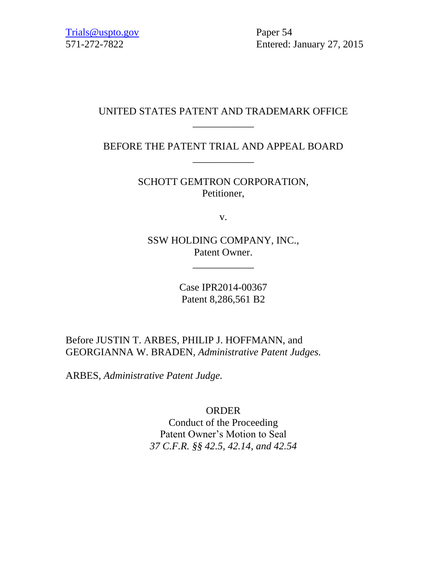571-272-7822 Entered: January 27, 2015

### UNITED STATES PATENT AND TRADEMARK OFFICE \_\_\_\_\_\_\_\_\_\_\_\_

BEFORE THE PATENT TRIAL AND APPEAL BOARD \_\_\_\_\_\_\_\_\_\_\_\_

> SCHOTT GEMTRON CORPORATION, Petitioner,

> > v.

SSW HOLDING COMPANY, INC., Patent Owner.

\_\_\_\_\_\_\_\_\_\_\_\_

Case IPR2014-00367 Patent 8,286,561 B2

Before JUSTIN T. ARBES, PHILIP J. HOFFMANN, and GEORGIANNA W. BRADEN, *Administrative Patent Judges.*

ARBES, *Administrative Patent Judge.*

ORDER

Conduct of the Proceeding Patent Owner's Motion to Seal *37 C.F.R. §§ 42.5, 42.14, and 42.54*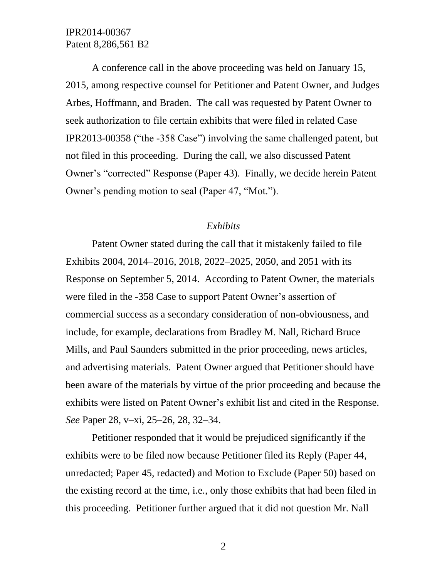A conference call in the above proceeding was held on January 15, 2015, among respective counsel for Petitioner and Patent Owner, and Judges Arbes, Hoffmann, and Braden. The call was requested by Patent Owner to seek authorization to file certain exhibits that were filed in related Case IPR2013-00358 ("the -358 Case") involving the same challenged patent, but not filed in this proceeding. During the call, we also discussed Patent Owner's "corrected" Response (Paper 43). Finally, we decide herein Patent Owner's pending motion to seal (Paper 47, "Mot.").

#### *Exhibits*

Patent Owner stated during the call that it mistakenly failed to file Exhibits 2004, 2014–2016, 2018, 2022–2025, 2050, and 2051 with its Response on September 5, 2014. According to Patent Owner, the materials were filed in the -358 Case to support Patent Owner's assertion of commercial success as a secondary consideration of non-obviousness, and include, for example, declarations from Bradley M. Nall, Richard Bruce Mills, and Paul Saunders submitted in the prior proceeding, news articles, and advertising materials. Patent Owner argued that Petitioner should have been aware of the materials by virtue of the prior proceeding and because the exhibits were listed on Patent Owner's exhibit list and cited in the Response. *See* Paper 28, v–xi, 25–26, 28, 32–34.

Petitioner responded that it would be prejudiced significantly if the exhibits were to be filed now because Petitioner filed its Reply (Paper 44, unredacted; Paper 45, redacted) and Motion to Exclude (Paper 50) based on the existing record at the time, i.e., only those exhibits that had been filed in this proceeding. Petitioner further argued that it did not question Mr. Nall

2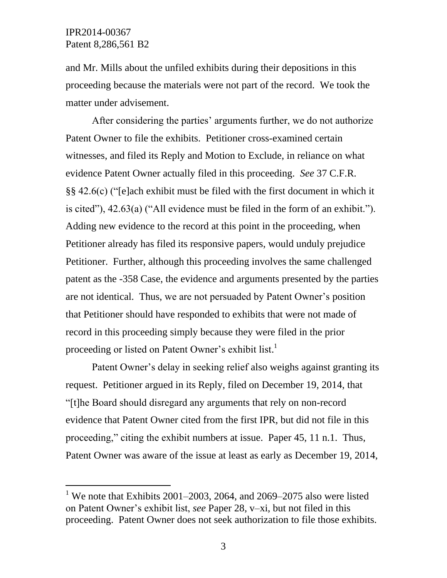l

and Mr. Mills about the unfiled exhibits during their depositions in this proceeding because the materials were not part of the record. We took the matter under advisement.

After considering the parties' arguments further, we do not authorize Patent Owner to file the exhibits. Petitioner cross-examined certain witnesses, and filed its Reply and Motion to Exclude, in reliance on what evidence Patent Owner actually filed in this proceeding. *See* 37 C.F.R. §§ 42.6(c) ("[e]ach exhibit must be filed with the first document in which it is cited"), 42.63(a) ("All evidence must be filed in the form of an exhibit."). Adding new evidence to the record at this point in the proceeding, when Petitioner already has filed its responsive papers, would unduly prejudice Petitioner. Further, although this proceeding involves the same challenged patent as the -358 Case, the evidence and arguments presented by the parties are not identical. Thus, we are not persuaded by Patent Owner's position that Petitioner should have responded to exhibits that were not made of record in this proceeding simply because they were filed in the prior proceeding or listed on Patent Owner's exhibit list.<sup>1</sup>

Patent Owner's delay in seeking relief also weighs against granting its request. Petitioner argued in its Reply, filed on December 19, 2014, that "[t]he Board should disregard any arguments that rely on non-record evidence that Patent Owner cited from the first IPR, but did not file in this proceeding," citing the exhibit numbers at issue. Paper 45, 11 n.1. Thus, Patent Owner was aware of the issue at least as early as December 19, 2014,

<sup>&</sup>lt;sup>1</sup> We note that Exhibits 2001–2003, 2064, and 2069–2075 also were listed on Patent Owner's exhibit list, *see* Paper 28, v–xi, but not filed in this proceeding. Patent Owner does not seek authorization to file those exhibits.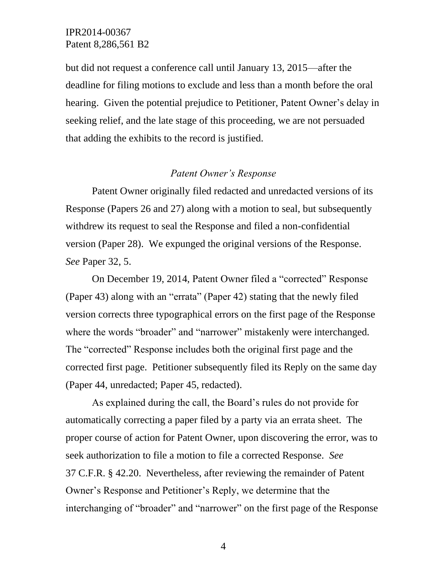but did not request a conference call until January 13, 2015—after the deadline for filing motions to exclude and less than a month before the oral hearing. Given the potential prejudice to Petitioner, Patent Owner's delay in seeking relief, and the late stage of this proceeding, we are not persuaded that adding the exhibits to the record is justified.

#### *Patent Owner's Response*

Patent Owner originally filed redacted and unredacted versions of its Response (Papers 26 and 27) along with a motion to seal, but subsequently withdrew its request to seal the Response and filed a non-confidential version (Paper 28). We expunged the original versions of the Response. *See* Paper 32, 5.

On December 19, 2014, Patent Owner filed a "corrected" Response (Paper 43) along with an "errata" (Paper 42) stating that the newly filed version corrects three typographical errors on the first page of the Response where the words "broader" and "narrower" mistakenly were interchanged. The "corrected" Response includes both the original first page and the corrected first page. Petitioner subsequently filed its Reply on the same day (Paper 44, unredacted; Paper 45, redacted).

As explained during the call, the Board's rules do not provide for automatically correcting a paper filed by a party via an errata sheet. The proper course of action for Patent Owner, upon discovering the error, was to seek authorization to file a motion to file a corrected Response. *See* 37 C.F.R. § 42.20. Nevertheless, after reviewing the remainder of Patent Owner's Response and Petitioner's Reply, we determine that the interchanging of "broader" and "narrower" on the first page of the Response

4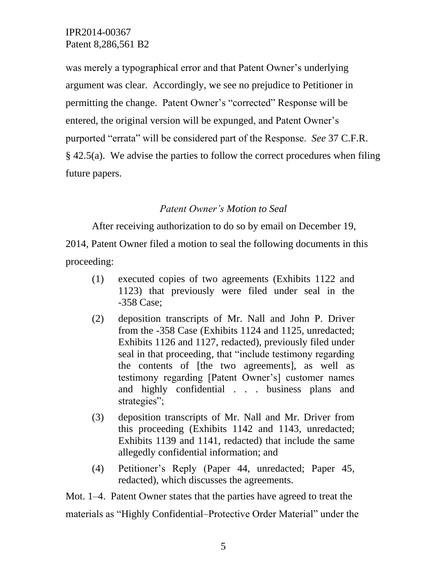was merely a typographical error and that Patent Owner's underlying argument was clear. Accordingly, we see no prejudice to Petitioner in permitting the change. Patent Owner's "corrected" Response will be entered, the original version will be expunged, and Patent Owner's purported "errata" will be considered part of the Response. *See* 37 C.F.R. § 42.5(a). We advise the parties to follow the correct procedures when filing future papers.

## *Patent Owner's Motion to Seal*

After receiving authorization to do so by email on December 19, 2014, Patent Owner filed a motion to seal the following documents in this proceeding:

- (1) executed copies of two agreements (Exhibits 1122 and 1123) that previously were filed under seal in the -358 Case;
- (2) deposition transcripts of Mr. Nall and John P. Driver from the -358 Case (Exhibits 1124 and 1125, unredacted; Exhibits 1126 and 1127, redacted), previously filed under seal in that proceeding, that "include testimony regarding the contents of [the two agreements], as well as testimony regarding [Patent Owner's] customer names and highly confidential . . . business plans and strategies";
- (3) deposition transcripts of Mr. Nall and Mr. Driver from this proceeding (Exhibits 1142 and 1143, unredacted; Exhibits 1139 and 1141, redacted) that include the same allegedly confidential information; and
- (4) Petitioner's Reply (Paper 44, unredacted; Paper 45, redacted), which discusses the agreements.

Mot. 1–4. Patent Owner states that the parties have agreed to treat the materials as "Highly Confidential–Protective Order Material" under the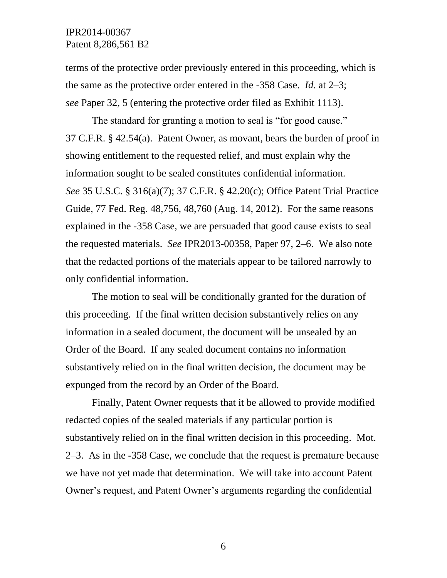terms of the protective order previously entered in this proceeding, which is the same as the protective order entered in the -358 Case. *Id*. at 2–3; *see* Paper 32, 5 (entering the protective order filed as Exhibit 1113).

The standard for granting a motion to seal is "for good cause." 37 C.F.R. § 42.54(a). Patent Owner, as movant, bears the burden of proof in showing entitlement to the requested relief, and must explain why the information sought to be sealed constitutes confidential information. *See* 35 U.S.C. § 316(a)(7); 37 C.F.R. § 42.20(c); Office Patent Trial Practice Guide, 77 Fed. Reg. 48,756, 48,760 (Aug. 14, 2012). For the same reasons explained in the -358 Case, we are persuaded that good cause exists to seal the requested materials. *See* IPR2013-00358, Paper 97, 2–6. We also note that the redacted portions of the materials appear to be tailored narrowly to only confidential information.

The motion to seal will be conditionally granted for the duration of this proceeding. If the final written decision substantively relies on any information in a sealed document, the document will be unsealed by an Order of the Board. If any sealed document contains no information substantively relied on in the final written decision, the document may be expunged from the record by an Order of the Board.

Finally, Patent Owner requests that it be allowed to provide modified redacted copies of the sealed materials if any particular portion is substantively relied on in the final written decision in this proceeding. Mot. 2–3. As in the -358 Case, we conclude that the request is premature because we have not yet made that determination. We will take into account Patent Owner's request, and Patent Owner's arguments regarding the confidential

6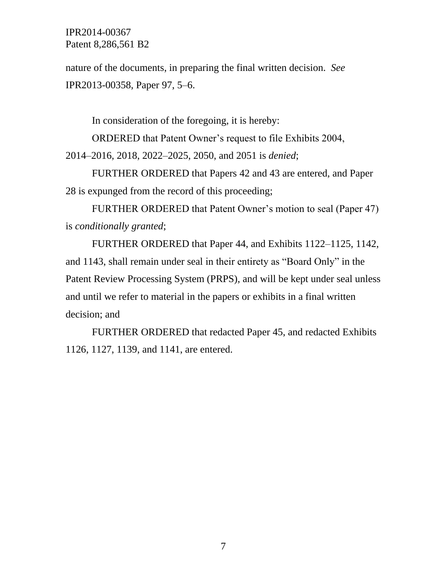nature of the documents, in preparing the final written decision. *See* IPR2013-00358, Paper 97, 5–6.

In consideration of the foregoing, it is hereby:

ORDERED that Patent Owner's request to file Exhibits 2004, 2014–2016, 2018, 2022–2025, 2050, and 2051 is *denied*;

FURTHER ORDERED that Papers 42 and 43 are entered, and Paper 28 is expunged from the record of this proceeding;

FURTHER ORDERED that Patent Owner's motion to seal (Paper 47) is *conditionally granted*;

FURTHER ORDERED that Paper 44, and Exhibits 1122–1125, 1142, and 1143, shall remain under seal in their entirety as "Board Only" in the Patent Review Processing System (PRPS), and will be kept under seal unless and until we refer to material in the papers or exhibits in a final written decision; and

FURTHER ORDERED that redacted Paper 45, and redacted Exhibits 1126, 1127, 1139, and 1141, are entered.